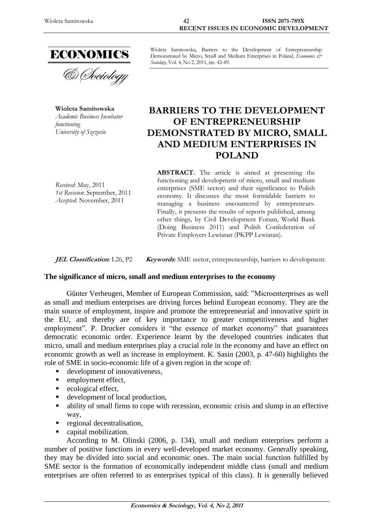

**Wioleta Samitowska** *Academic Business Incubator functioning University of Szczecin*

Wioleta Samitowska, Barriers to the Development of Entrepreneurship Demonstrated by Micro, Small and Medium Enterprises in Poland, *Economics & Sociology*, Vol. 4, No 2, 2011, pp. 42-49.

# **BARRIERS TO THE DEVELOPMENT OF ENTREPRENEURSHIP DEMONSTRATED BY MICRO, SMALL AND MEDIUM ENTERPRISES IN POLAND**

*Received*: May, 2011 *1st Revision*: September, 2011 *Accepted*: November, 2011

**ABSTRACT.** The article is aimed at presenting the functioning and development of micro, small and medium enterprises (SME sector) and their significance to Polish economy. It discusses the most formidable barriers to managing a business encountered by entrepreneurs. Finally, it presents the results of reports published, among other things, by Civil Development Forum, World Bank (Doing Business 2011) and Polish Confederation of Private Employers Lewiatan (PKPP Lewiatan).

**JEL Classification**: L26, P2 **Keywords**: SME sector, entrepreneurship, barriers to development.

## **The significance of micro, small and medium enterprises to the economy**

Günter Verheugen, Member of European Commission, said: "Microenterprises as well as small and medium enterprises are driving forces behind European economy. They are the main source of employment, inspire and promote the entrepreneurial and innovative spirit in the EU, and thereby are of key importance to greater competitiveness and higher employment". P. Drucker considers it "the essence of market economy" that guarantees democratic economic order. Experience learnt by the developed countries indicates that micro, small and medium enterprises play a crucial role in the economy and have an effect on economic growth as well as increase in employment. K. Sasin (2003, p. 47-60) highlights the role of SME in socio-economic life of a given region in the scope of:

- development of innovativeness,
- **employment effect,**
- ecological effect,
- development of local production,
- ability of small firms to cope with recession, economic crisis and slump in an effective way,
- **regional decentralisation,**
- capital mobilization.

According to M. Olinski (2006, p. 134), small and medium enterprises perform a number of positive functions in every well-developed market economy. Generally speaking, they may be divided into social and economic ones. The main social function fulfilled by SME sector is the formation of economically independent middle class (small and medium enterprises are often referred to as enterprises typical of this class). It is generally believed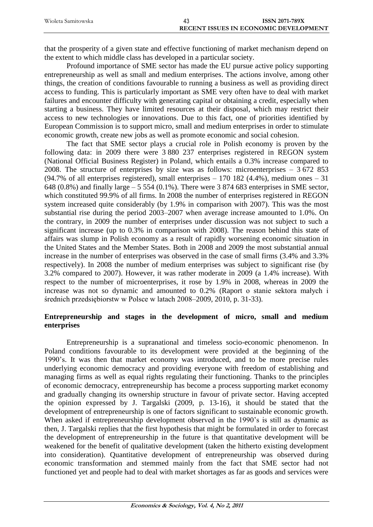| Wioleta Samitowska | <b>ISSN 2071-789X</b>                        |
|--------------------|----------------------------------------------|
|                    | <b>RECENT ISSUES IN ECONOMIC DEVELOPMENT</b> |

that the prosperity of a given state and effective functioning of market mechanism depend on the extent to which middle class has developed in a particular society.

Profound importance of SME sector has made the EU pursue active policy supporting entrepreneurship as well as small and medium enterprises. The actions involve, among other things, the creation of conditions favourable to running a business as well as providing direct access to funding. This is particularly important as SME very often have to deal with market failures and encounter difficulty with generating capital or obtaining a credit, especially when starting a business. They have limited resources at their disposal, which may restrict their access to new technologies or innovations. Due to this fact, one of priorities identified by European Commission is to support micro, small and medium enterprises in order to stimulate economic growth, create new jobs as well as promote economic and social cohesion.

The fact that SME sector plays a crucial role in Polish economy is proven by the following data: in 2009 there were 3 880 237 enterprises registered in REGON system (National Official Business Register) in Poland, which entails a 0.3% increase compared to 2008. The structure of enterprises by size was as follows: microenterprises  $-3.672.853$ (94.7% of all enterprises registered), small enterprises  $-170$  182 (4.4%), medium ones  $-31$ 648 (0.8%) and finally large  $-5554$  (0.1%). There were 3 874 683 enterprises in SME sector, which constituted 99.9% of all firms. In 2008 the number of enterprises registered in REGON system increased quite considerably (by 1.9% in comparison with 2007). This was the most substantial rise during the period 2003–2007 when average increase amounted to 1.0%. On the contrary, in 2009 the number of enterprises under discussion was not subject to such a significant increase (up to 0.3% in comparison with 2008). The reason behind this state of affairs was slump in Polish economy as a result of rapidly worsening economic situation in the United States and the Member States. Both in 2008 and 2009 the most substantial annual increase in the number of enterprises was observed in the case of small firms (3.4% and 3.3% respectively). In 2008 the number of medium enterprises was subject to significant rise (by 3.2% compared to 2007). However, it was rather moderate in 2009 (a 1.4% increase). With respect to the number of microenterprises, it rose by 1.9% in 2008, whereas in 2009 the increase was not so dynamic and amounted to 0.2% (Raport o stanie sektora małych i średnich przedsiębiorstw w Polsce w latach 2008–2009, 2010, p. 31-33).

## **Entrepreneurship and stages in the development of micro, small and medium enterprises**

Entrepreneurship is a supranational and timeless socio-economic phenomenon. In Poland conditions favourable to its development were provided at the beginning of the 1990's. It was then that market economy was introduced, and to be more precise rules underlying economic democracy and providing everyone with freedom of establishing and managing firms as well as equal rights regulating their functioning. Thanks to the principles of economic democracy, entrepreneurship has become a process supporting market economy and gradually changing its ownership structure in favour of private sector. Having accepted the opinion expressed by J. Targalski (2009, p. 13-16), it should be stated that the development of entrepreneurship is one of factors significant to sustainable economic growth. When asked if entrepreneurship development observed in the 1990's is still as dynamic as then, J. Targalski replies that the first hypothesis that might be formulated in order to forecast the development of entrepreneurship in the future is that quantitative development will be weakened for the benefit of qualitative development (taken the hitherto existing development into consideration). Quantitative development of entrepreneurship was observed during economic transformation and stemmed mainly from the fact that SME sector had not functioned yet and people had to deal with market shortages as far as goods and services were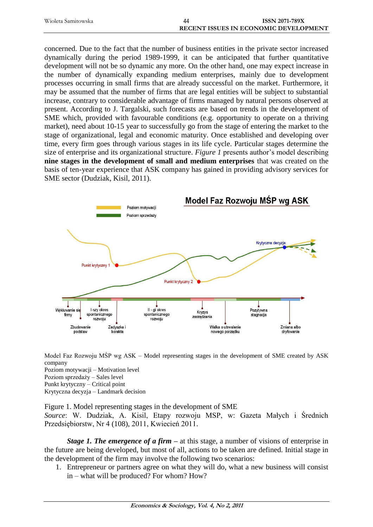| Wioleta Samitowska | 44 | <b>ISSN 2071-789X</b>                        |
|--------------------|----|----------------------------------------------|
|                    |    | <b>RECENT ISSUES IN ECONOMIC DEVELOPMENT</b> |

concerned. Due to the fact that the number of business entities in the private sector increased dynamically during the period 1989-1999, it can be anticipated that further quantitative development will not be so dynamic any more. On the other hand, one may expect increase in the number of dynamically expanding medium enterprises, mainly due to development processes occurring in small firms that are already successful on the market. Furthermore, it may be assumed that the number of firms that are legal entities will be subject to substantial increase, contrary to considerable advantage of firms managed by natural persons observed at present. According to J. Targalski, such forecasts are based on trends in the development of SME which, provided with favourable conditions (e.g. opportunity to operate on a thriving market), need about 10-15 year to successfully go from the stage of entering the market to the stage of organizational, legal and economic maturity. Once established and developing over time, every firm goes through various stages in its life cycle. Particular stages determine the size of enterprise and its organizational structure. *Figure 1* presents author's model describing **nine stages in the development of small and medium enterprises** that was created on the basis of ten-year experience that ASK company has gained in providing advisory services for SME sector (Dudziak, Kisil, 2011).



Model Faz Rozwoju MŚP wg ASK – Model representing stages in the development of SME created by ASK company Poziom motywacji – Motivation level Poziom sprzedaży – Sales level

Punkt krytyczny – Critical point Krytyczna decyzja – Landmark decision

Figure 1. Model representing stages in the development of SME

*Source*: W. Dudziak, A. Kisil, Etapy rozwoju MSP, w: Gazeta Małych i Średnich Przedsiębiorstw, Nr 4 (108), 2011, Kwiecień 2011.

*Stage 1. The emergence of a firm –* at this stage, a number of visions of enterprise in the future are being developed, but most of all, actions to be taken are defined. Initial stage in the development of the firm may involve the following two scenarios:

1. Entrepreneur or partners agree on what they will do, what a new business will consist in – what will be produced? For whom? How?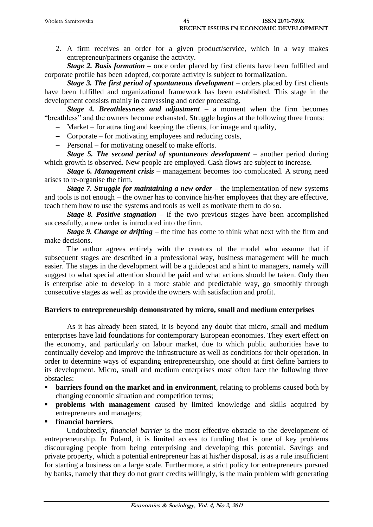| Wioleta Samitowska | 45 | <b>ISSN 2071-789X</b>                        |
|--------------------|----|----------------------------------------------|
|                    |    | <b>RECENT ISSUES IN ECONOMIC DEVELOPMENT</b> |

2. A firm receives an order for a given product/service, which in a way makes entrepreneur/partners organise the activity.

*Stage* 2. Basis formation – once order placed by first clients have been fulfilled and corporate profile has been adopted, corporate activity is subject to formalization.

*Stage 3. The first period of spontaneous development* – orders placed by first clients have been fulfilled and organizational framework has been established. This stage in the development consists mainly in canvassing and order processing.

*Stage 4. Breathlessness and adjustment* **–** a moment when the firm becomes "breathless" and the owners become exhausted. Struggle begins at the following three fronts:

- Market for attracting and keeping the clients, for image and quality,
- Corporate for motivating employees and reducing costs,
- Personal for motivating oneself to make efforts.

*Stage 5. The second period of spontaneous development – another period during* which growth is observed. New people are employed. Cash flows are subject to increase.

*Stage 6. Management crisis* – management becomes too complicated. A strong need arises to re-organise the firm.

*Stage 7. Struggle for maintaining a new order* – the implementation of new systems and tools is not enough – the owner has to convince his/her employees that they are effective, teach them how to use the systems and tools as well as motivate them to do so.

*Stage 8. Positive stagnation* – if the two previous stages have been accomplished successfully, a new order is introduced into the firm.

*Stage 9. Change or drifting* – the time has come to think what next with the firm and make decisions.

The author agrees entirely with the creators of the model who assume that if subsequent stages are described in a professional way, business management will be much easier. The stages in the development will be a guidepost and a hint to managers, namely will suggest to what special attention should be paid and what actions should be taken. Only then is enterprise able to develop in a more stable and predictable way, go smoothly through consecutive stages as well as provide the owners with satisfaction and profit.

## **Barriers to entrepreneurship demonstrated by micro, small and medium enterprises**

As it has already been stated, it is beyond any doubt that micro, small and medium enterprises have laid foundations for contemporary European economies. They exert effect on the economy, and particularly on labour market, due to which public authorities have to continually develop and improve the infrastructure as well as conditions for their operation. In order to determine ways of expanding entrepreneurship, one should at first define barriers to its development. Micro, small and medium enterprises most often face the following three obstacles:

- **barriers found on the market and in environment**, relating to problems caused both by changing economic situation and competition terms;
- **problems with management** caused by limited knowledge and skills acquired by entrepreneurs and managers;
- **financial barriers**.

Undoubtedly, *financial barrier* is the most effective obstacle to the development of entrepreneurship. In Poland, it is limited access to funding that is one of key problems discouraging people from being enterprising and developing this potential. Savings and private property, which a potential entrepreneur has at his/her disposal, is as a rule insufficient for starting a business on a large scale. Furthermore, a strict policy for entrepreneurs pursued by banks, namely that they do not grant credits willingly, is the main problem with generating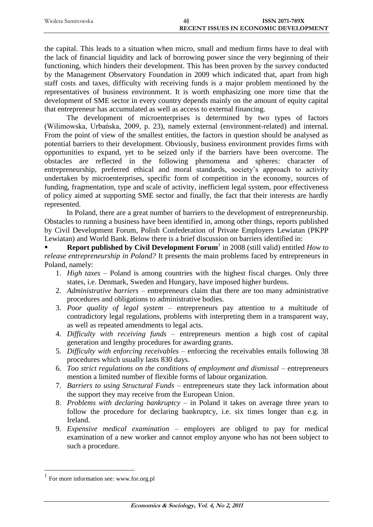| Wioleta Samitowska | 46 | <b>ISSN 2071-789X</b>                        |
|--------------------|----|----------------------------------------------|
|                    |    | <b>RECENT ISSUES IN ECONOMIC DEVELOPMENT</b> |

the capital. This leads to a situation when micro, small and medium firms have to deal with the lack of financial liquidity and lack of borrowing power since the very beginning of their functioning, which hinders their development. This has been proven by the survey conducted by the Management Observatory Foundation in 2009 which indicated that, apart from high staff costs and taxes, difficulty with receiving funds is a major problem mentioned by the representatives of business environment. It is worth emphasizing one more time that the development of SME sector in every country depends mainly on the amount of equity capital that entrepreneur has accumulated as well as access to external financing.

The development of microenterprises is determined by two types of factors (Wilimowska, Urbańska, 2009, p. 23), namely external (environment-related) and internal. From the point of view of the smallest entities, the factors in question should be analysed as potential barriers to their development. Obviously, business environment provides firms with opportunities to expand, yet to be seized only if the barriers have been overcome. The obstacles are reflected in the following phenomena and spheres: character of entrepreneurship, preferred ethical and moral standards, society's approach to activity undertaken by microenterprises, specific form of competition in the economy, sources of funding, fragmentation, type and scale of activity, inefficient legal system, poor effectiveness of policy aimed at supporting SME sector and finally, the fact that their interests are hardly represented.

In Poland, there are a great number of barriers to the development of entrepreneurship. Obstacles to running a business have been identified in, among other things, reports published by Civil Development Forum, Polish Confederation of Private Employers Lewiatan (PKPP Lewiatan) and World Bank. Below there is a brief discussion on barriers identified in:

**Report published by Civil Development Forum** in 2008 (still valid) entitled *How to release entrepreneurship in Poland?* It presents the main problems faced by entrepreneurs in Poland, namely:

- 1. *High taxes* Poland is among countries with the highest fiscal charges. Only three states, i.e. Denmark, Sweden and Hungary, have imposed higher burdens.
- 2. *Administrative barriers*  entrepreneurs claim that there are too many administrative procedures and obligations to administrative bodies.
- 3. *Poor quality of legal system*  entrepreneurs pay attention to a multitude of contradictory legal regulations, problems with interpreting them in a transparent way, as well as repeated amendments to legal acts.
- 4. *Difficulty with receiving funds*  entrepreneurs mention a high cost of capital generation and lengthy procedures for awarding grants.
- 5. *Difficulty with enforcing receivables*  enforcing the receivables entails following 38 procedures which usually lasts 830 days.
- 6. *Too strict regulations on the conditions of employment and dismissal* entrepreneurs mention a limited number of flexible forms of labour organization.
- 7. *Barriers to using Structural Funds*  entrepreneurs state they lack information about the support they may receive from the European Union.
- 8. *Problems with declaring bankruptcy*  in Poland it takes on average three years to follow the procedure for declaring bankruptcy, i.e. six times longer than e.g. in Ireland.
- 9. *Expensive medical examination*  employers are obliged to pay for medical examination of a new worker and cannot employ anyone who has not been subject to such a procedure.

 $\overline{a}$ 

<sup>1</sup> For more information see: [www.for.org.pl](http://www.for.org.pl/)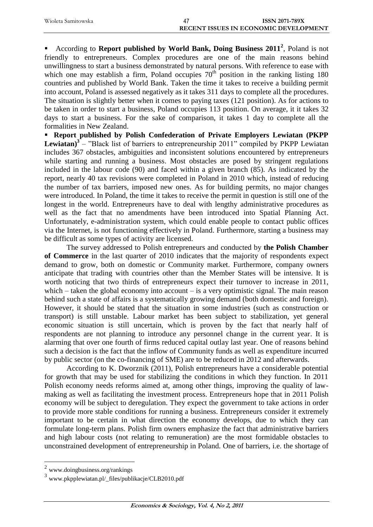| Wioleta Samitowska | <b>ISSN 2071-789X</b>                        |
|--------------------|----------------------------------------------|
|                    | <b>RECENT ISSUES IN ECONOMIC DEVELOPMENT</b> |

**•** According to **Report published by World Bank, Doing Business 2011<sup>2</sup>, Poland is not** friendly to entrepreneurs. Complex procedures are one of the main reasons behind unwillingness to start a business demonstrated by natural persons. With reference to ease with which one may establish a firm, Poland occupies  $70<sup>th</sup>$  position in the ranking listing 180 countries and published by World Bank. Taken the time it takes to receive a building permit into account, Poland is assessed negatively as it takes 311 days to complete all the procedures. The situation is slightly better when it comes to paying taxes (121 position). As for actions to be taken in order to start a business, Poland occupies 113 position. On average, it it takes 32 days to start a business. For the sake of comparison, it takes 1 day to complete all the formalities in New Zealand.

 **Report published by Polish Confederation of Private Employers Lewiatan (PKPP Lewiatan)<sup>3</sup>** – "Black list of barriers to entrepreneurship 2011" compiled by PKPP Lewiatan includes 367 obstacles, ambiguities and inconsistent solutions encountered by entrepreneurs while starting and running a business. Most obstacles are posed by stringent regulations included in the labour code (90) and faced within a given branch (85). As indicated by the report, nearly 40 tax revisions were completed in Poland in 2010 which, instead of reducing the number of tax barriers, imposed new ones. As for building permits, no major changes were introduced. In Poland, the time it takes to receive the permit in question is still one of the longest in the world. Entrepreneurs have to deal with lengthy administrative procedures as well as the fact that no amendments have been introduced into Spatial Planning Act. Unfortunately, e-administration system, which could enable people to contact public offices via the Internet, is not functioning effectively in Poland. Furthermore, starting a business may be difficult as some types of activity are licensed.

The survey addressed to Polish entrepreneurs and conducted by **the Polish Chamber of Commerce** in the last quarter of 2010 indicates that the majority of respondents expect demand to grow, both on domestic or Community market. Furthermore, company owners anticipate that trading with countries other than the Member States will be intensive. It is worth noticing that two thirds of entrepreneurs expect their turnover to increase in 2011, which – taken the global economy into account – is a very optimistic signal. The main reason behind such a state of affairs is a systematically growing demand (both domestic and foreign). However, it should be stated that the situation in some industries (such as construction or transport) is still unstable. Labour market has been subject to stabilization, yet general economic situation is still uncertain, which is proven by the fact that nearly half of respondents are not planning to introduce any personnel change in the current year. It is alarming that over one fourth of firms reduced capital outlay last year. One of reasons behind such a decision is the fact that the inflow of Community funds as well as expenditure incurred by public sector (on the co-financing of SME) are to be reduced in 2012 and afterwards.

According to K. Dworznik (2011), Polish entrepreneurs have a considerable potential for growth that may be used for stabilizing the conditions in which they function. In 2011 Polish economy needs reforms aimed at, among other things, improving the quality of lawmaking as well as facilitating the investment process. Entrepreneurs hope that in 2011 Polish economy will be subject to deregulation. They expect the government to take actions in order to provide more stable conditions for running a business. Entrepreneurs consider it extremely important to be certain in what direction the economy develops, due to which they can formulate long-term plans. Polish firm owners emphasize the fact that administrative barriers and high labour costs (not relating to remuneration) are the most formidable obstacles to unconstrained development of entrepreneurship in Poland. One of barriers, i.e. the shortage of

 $\overline{a}$ 

<sup>&</sup>lt;sup>2</sup> [www.doingbusiness.org/rankings](http://www.doingbusiness.org/rankings)

<sup>3</sup> [www.pkpplewiatan.pl/\\_files/publikacje/CLB2010.pdf](http://www.pkpplewiatan.pl/_files/publikacje/CLB2010.pdf)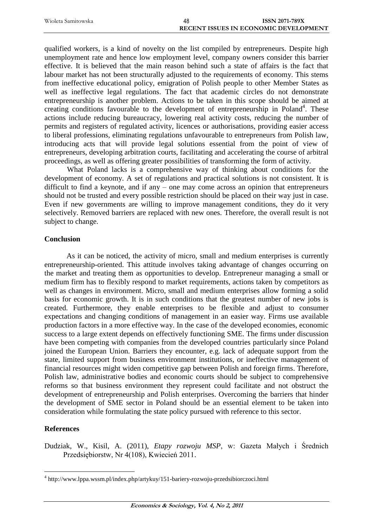| Wioleta Samitowska | 48 | <b>ISSN 2071-789X</b>                        |
|--------------------|----|----------------------------------------------|
|                    |    | <b>RECENT ISSUES IN ECONOMIC DEVELOPMENT</b> |

qualified workers, is a kind of novelty on the list compiled by entrepreneurs. Despite high unemployment rate and hence low employment level, company owners consider this barrier effective. It is believed that the main reason behind such a state of affairs is the fact that labour market has not been structurally adjusted to the requirements of economy. This stems from ineffective educational policy, emigration of Polish people to other Member States as well as ineffective legal regulations. The fact that academic circles do not demonstrate entrepreneurship is another problem. Actions to be taken in this scope should be aimed at creating conditions favourable to the development of entrepreneurship in Poland<sup>4</sup>. These actions include reducing bureaucracy, lowering real activity costs, reducing the number of permits and registers of regulated activity, licences or authorisations, providing easier access to liberal professions, eliminating regulations unfavourable to entrepreneurs from Polish law, introducing acts that will provide legal solutions essential from the point of view of entrepreneurs, developing arbitration courts, facilitating and accelerating the course of arbitral proceedings, as well as offering greater possibilities of transforming the form of activity.

What Poland lacks is a comprehensive way of thinking about conditions for the development of economy. A set of regulations and practical solutions is not consistent. It is difficult to find a keynote, and if any – one may come across an opinion that entrepreneurs should not be trusted and every possible restriction should be placed on their way just in case. Even if new governments are willing to improve management conditions, they do it very selectively. Removed barriers are replaced with new ones. Therefore, the overall result is not subject to change.

### **Conclusion**

As it can be noticed, the activity of micro, small and medium enterprises is currently entrepreneurship-oriented. This attitude involves taking advantage of changes occurring on the market and treating them as opportunities to develop. Entrepreneur managing a small or medium firm has to flexibly respond to market requirements, actions taken by competitors as well as changes in environment. Micro, small and medium enterprises allow forming a solid basis for economic growth. It is in such conditions that the greatest number of new jobs is created. Furthermore, they enable enterprises to be flexible and adjust to consumer expectations and changing conditions of management in an easier way. Firms use available production factors in a more effective way. In the case of the developed economies, economic success to a large extent depends on effectively functioning SME. The firms under discussion have been competing with companies from the developed countries particularly since Poland joined the European Union. Barriers they encounter, e.g. lack of adequate support from the state, limited support from business environment institutions, or ineffective management of financial resources might widen competitive gap between Polish and foreign firms. Therefore, Polish law, administrative bodies and economic courts should be subject to comprehensive reforms so that business environment they represent could facilitate and not obstruct the development of entrepreneurship and Polish enterprises. Overcoming the barriers that hinder the development of SME sector in Poland should be an essential element to be taken into consideration while formulating the state policy pursued with reference to this sector.

#### **References**

 $\overline{a}$ 

Dudziak, W., Kisil, A. (2011), *Etapy rozwoju MSP*, w: Gazeta Małych i Średnich Przedsiębiorstw, Nr 4(108), Kwiecień 2011.

<sup>4</sup> <http://www.lppa.wssm.pl/index.php/artykuy/151-bariery-rozwoju-przedsibiorczoci.html>